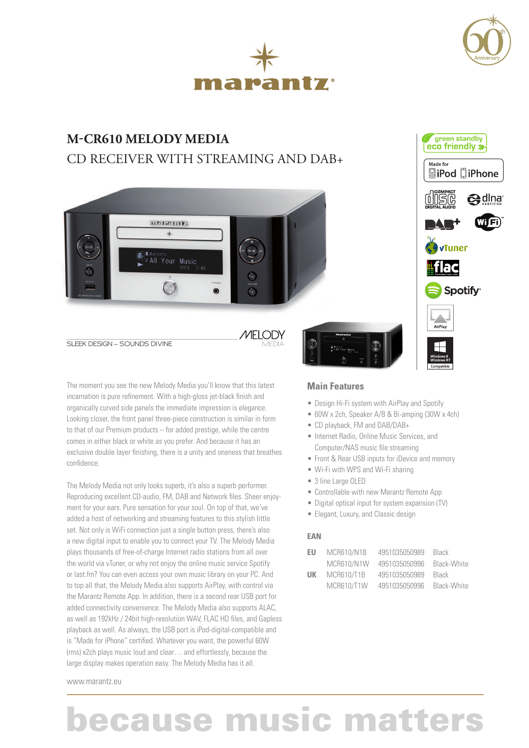

**MELODY** 





**Sleek Design – sounds divine**

The moment you see the new Melody Media you'll know that this latest incarnation is pure refinement. With a high-gloss jet-black finish and organically curved side panels the immediate impression is elegance. Looking closer, the front panel three-piece construction is similar in form to that of our Premium products – for added prestige, while the centre comes in either black or white as you prefer. And because it has an exclusive double layer finishing, there is a unity and oneness that breathes confidence.

The Melody Media not only looks superb, it's also a superb performer. Reproducing excellent CD-audio, FM, DAB and Network files. Sheer enjoyment for your ears. Pure sensation for your soul. On top of that, we've added a host of networking and streaming features to this stylish little set. Not only is WiFi connection just a single button press, there's also a new digital input to enable you to connect your TV. The Melody Media plays thousands of free-of-charge Internet radio stations from all over the world via vTuner, or why not enjoy the online music service Spotify or last.fm? You can even access your own music library on your PC. And to top all that, the Melody Media also supports AirPlay, with control via the Marantz Remote App. In addition, there is a second rear USB port for added connectivity convenience. The Melody Media also supports ALAC, as well as 192kHz / 24bit high-resolution WAV, FLAC HD files, and Gapless playback as well. As always, the USB port is iPod-digital-compatible and is "Made for iPhone" certified. Whatever you want, the powerful 60W (rms) x2ch plays music loud and clear… and effortlessly, because the large display makes operation easy. The Melody Media has it all.

www.marantz.eu



### **Main Features**

- Design Hi-Fi system with AirPlay and Spotify
- 60W x 2ch, Speaker A/B & Bi-amping (30W x 4ch)
- • CD playback, FM and DAB/DAB+
- Internet Radio, Online Music Services, and Computer/NAS music file streaming
- Front & Rear USB inputs for iDevice and memory
- Wi-Fi with WPS and Wi-Fi sharing
- 3 line Large OLED
- Controllable with new Marantz Remote App
- Digital optical input for system expansion (TV)
- Elegant, Luxury, and Classic design

#### **EAN**

| EU | MCR610/N1B        | 4951035050989 | Black       |
|----|-------------------|---------------|-------------|
|    | MCR610/N1W        | 4951035050996 | Black-White |
| UK | <b>MCR610/T1B</b> | 4951035050989 | Black       |

MCR610/T1W 4951035050996 Black-White







green standby eco friendly :

**圖iPod** 口iPhone

vTuner

Spotify<sup>®</sup>

**ac** 

AirPlay

<u>ද</u>ුdina

 $M<sub>2</sub>da$